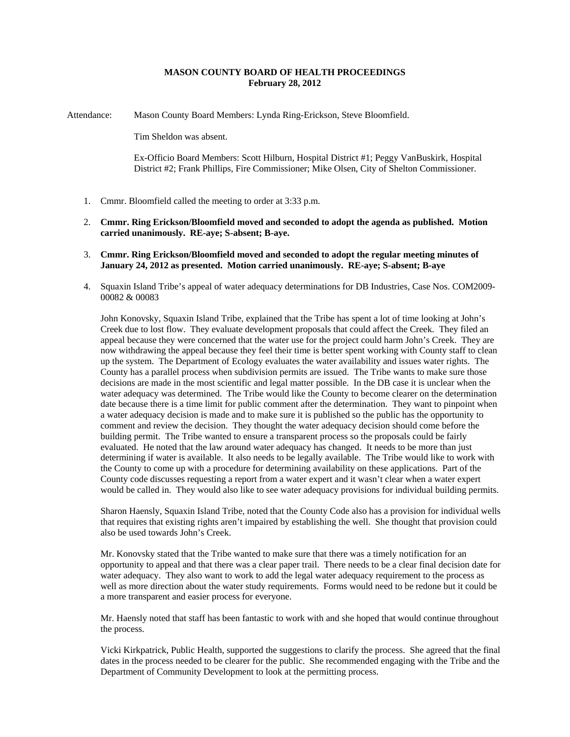# **MASON COUNTY BOARD OF HEALTH PROCEEDINGS February 28, 2012**

Attendance: Mason County Board Members: Lynda Ring-Erickson, Steve Bloomfield.

Tim Sheldon was absent.

Ex-Officio Board Members: Scott Hilburn, Hospital District #1; Peggy VanBuskirk, Hospital District #2; Frank Phillips, Fire Commissioner; Mike Olsen, City of Shelton Commissioner.

- 1. Cmmr. Bloomfield called the meeting to order at 3:33 p.m.
- 2. **Cmmr. Ring Erickson/Bloomfield moved and seconded to adopt the agenda as published. Motion carried unanimously. RE-aye; S-absent; B-aye.**
- 3. **Cmmr. Ring Erickson/Bloomfield moved and seconded to adopt the regular meeting minutes of January 24, 2012 as presented. Motion carried unanimously. RE-aye; S-absent; B-aye**
- 4. Squaxin Island Tribe's appeal of water adequacy determinations for DB Industries, Case Nos. COM2009- 00082 & 00083

John Konovsky, Squaxin Island Tribe, explained that the Tribe has spent a lot of time looking at John's Creek due to lost flow. They evaluate development proposals that could affect the Creek. They filed an appeal because they were concerned that the water use for the project could harm John's Creek. They are now withdrawing the appeal because they feel their time is better spent working with County staff to clean up the system. The Department of Ecology evaluates the water availability and issues water rights. The County has a parallel process when subdivision permits are issued. The Tribe wants to make sure those decisions are made in the most scientific and legal matter possible. In the DB case it is unclear when the water adequacy was determined. The Tribe would like the County to become clearer on the determination date because there is a time limit for public comment after the determination. They want to pinpoint when a water adequacy decision is made and to make sure it is published so the public has the opportunity to comment and review the decision. They thought the water adequacy decision should come before the building permit. The Tribe wanted to ensure a transparent process so the proposals could be fairly evaluated. He noted that the law around water adequacy has changed. It needs to be more than just determining if water is available. It also needs to be legally available. The Tribe would like to work with the County to come up with a procedure for determining availability on these applications. Part of the County code discusses requesting a report from a water expert and it wasn't clear when a water expert would be called in. They would also like to see water adequacy provisions for individual building permits.

Sharon Haensly, Squaxin Island Tribe, noted that the County Code also has a provision for individual wells that requires that existing rights aren't impaired by establishing the well. She thought that provision could also be used towards John's Creek.

Mr. Konovsky stated that the Tribe wanted to make sure that there was a timely notification for an opportunity to appeal and that there was a clear paper trail. There needs to be a clear final decision date for water adequacy. They also want to work to add the legal water adequacy requirement to the process as well as more direction about the water study requirements. Forms would need to be redone but it could be a more transparent and easier process for everyone.

Mr. Haensly noted that staff has been fantastic to work with and she hoped that would continue throughout the process.

Vicki Kirkpatrick, Public Health, supported the suggestions to clarify the process. She agreed that the final dates in the process needed to be clearer for the public. She recommended engaging with the Tribe and the Department of Community Development to look at the permitting process.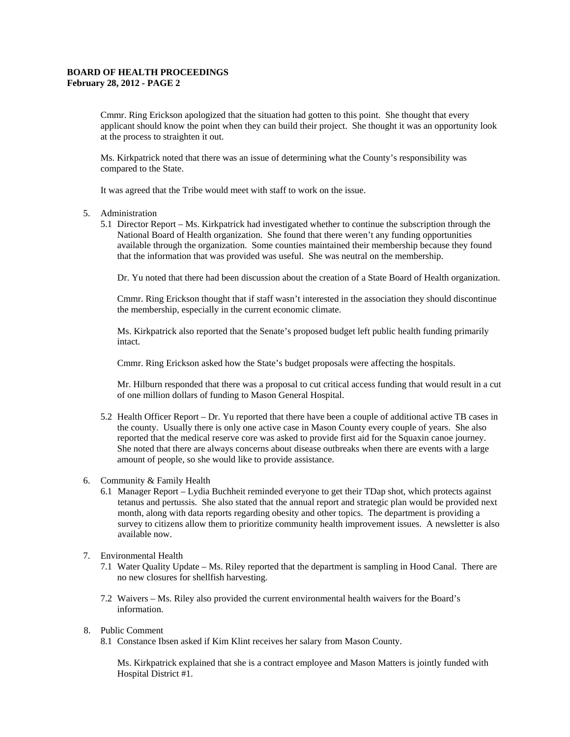# **BOARD OF HEALTH PROCEEDINGS February 28, 2012 - PAGE 2**

Cmmr. Ring Erickson apologized that the situation had gotten to this point. She thought that every applicant should know the point when they can build their project. She thought it was an opportunity look at the process to straighten it out.

Ms. Kirkpatrick noted that there was an issue of determining what the County's responsibility was compared to the State.

It was agreed that the Tribe would meet with staff to work on the issue.

#### 5. Administration

5.1 Director Report – Ms. Kirkpatrick had investigated whether to continue the subscription through the National Board of Health organization. She found that there weren't any funding opportunities available through the organization. Some counties maintained their membership because they found that the information that was provided was useful. She was neutral on the membership.

Dr. Yu noted that there had been discussion about the creation of a State Board of Health organization.

Cmmr. Ring Erickson thought that if staff wasn't interested in the association they should discontinue the membership, especially in the current economic climate.

Ms. Kirkpatrick also reported that the Senate's proposed budget left public health funding primarily intact.

Cmmr. Ring Erickson asked how the State's budget proposals were affecting the hospitals.

Mr. Hilburn responded that there was a proposal to cut critical access funding that would result in a cut of one million dollars of funding to Mason General Hospital.

5.2 Health Officer Report – Dr. Yu reported that there have been a couple of additional active TB cases in the county. Usually there is only one active case in Mason County every couple of years. She also reported that the medical reserve core was asked to provide first aid for the Squaxin canoe journey. She noted that there are always concerns about disease outbreaks when there are events with a large amount of people, so she would like to provide assistance.

# 6. Community & Family Health

6.1 Manager Report – Lydia Buchheit reminded everyone to get their TDap shot, which protects against tetanus and pertussis. She also stated that the annual report and strategic plan would be provided next month, along with data reports regarding obesity and other topics. The department is providing a survey to citizens allow them to prioritize community health improvement issues. A newsletter is also available now.

#### 7. Environmental Health

- 7.1 Water Quality Update Ms. Riley reported that the department is sampling in Hood Canal. There are no new closures for shellfish harvesting.
- 7.2 Waivers Ms. Riley also provided the current environmental health waivers for the Board's information.

### 8. Public Comment

8.1 Constance Ibsen asked if Kim Klint receives her salary from Mason County.

Ms. Kirkpatrick explained that she is a contract employee and Mason Matters is jointly funded with Hospital District #1.